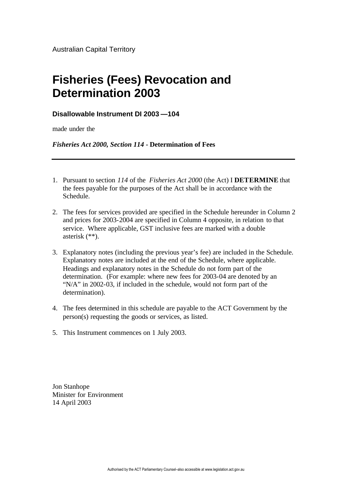## **Fisheries (Fees) Revocation and Determination 2003**

## **Disallowable Instrument DI 2003 —104**

made under the

*Fisheries Act 2000, Section 114* **- Determination of Fees**

- 1. Pursuant to section *114* of the *Fisheries Act 2000* (the Act) I **DETERMINE** that the fees payable for the purposes of the Act shall be in accordance with the Schedule.
- 2. The fees for services provided are specified in the Schedule hereunder in Column 2 and prices for 2003-2004 are specified in Column 4 opposite, in relation to that service. Where applicable, GST inclusive fees are marked with a double asterisk (\*\*).
- 3. Explanatory notes (including the previous year's fee) are included in the Schedule. Explanatory notes are included at the end of the Schedule, where applicable. Headings and explanatory notes in the Schedule do not form part of the determination. (For example: where new fees for 2003-04 are denoted by an "N/A" in 2002-03, if included in the schedule, would not form part of the determination).
- 4. The fees determined in this schedule are payable to the ACT Government by the person(s) requesting the goods or services, as listed.
- 5. This Instrument commences on 1 July 2003.

Jon Stanhope Minister for Environment 14 April 2003